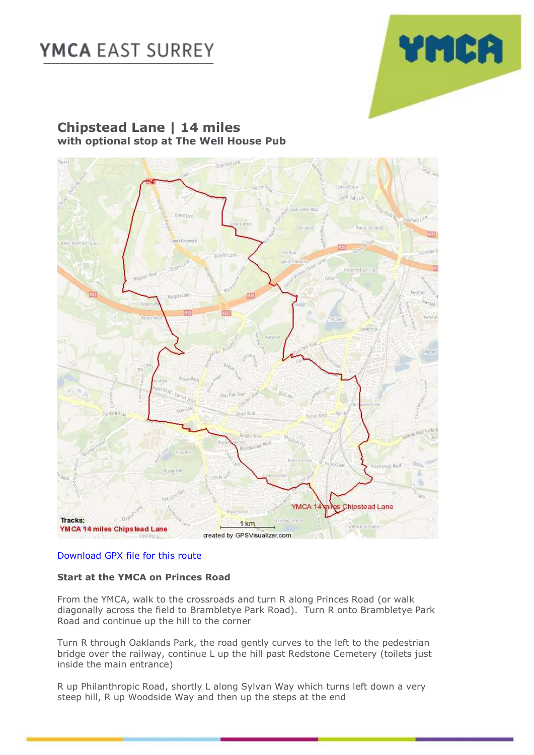

### **Chipstead Lane | 14 miles with optional stop at The Well House Pub**



#### [Download GPX file for this route](https://ymcaeastsurrey-my.sharepoint.com/:u:/g/personal/caroline_jones_ymcaeastsurrey_org_uk/EZEnSeksGs1Gka8rFjv95MoBxOuEYh9q2OkOv3FIyDiapg?e=IGPLpB)

#### **Start at the YMCA on Princes Road**

From the YMCA, walk to the crossroads and turn R along Princes Road (or walk diagonally across the field to Brambletye Park Road). Turn R onto Brambletye Park Road and continue up the hill to the corner

Turn R through Oaklands Park, the road gently curves to the left to the pedestrian bridge over the railway, continue L up the hill past Redstone Cemetery (toilets just inside the main entrance)

R up Philanthropic Road, shortly L along Sylvan Way which turns left down a very steep hill, R up Woodside Way and then up the steps at the end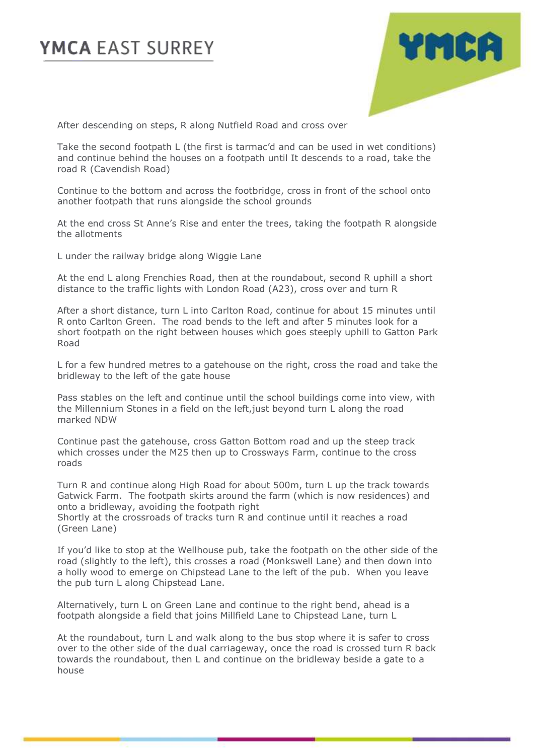

After descending on steps, R along Nutfield Road and cross over

Take the second footpath L (the first is tarmac'd and can be used in wet conditions) and continue behind the houses on a footpath until It descends to a road, take the road R (Cavendish Road)

Continue to the bottom and across the footbridge, cross in front of the school onto another footpath that runs alongside the school grounds

At the end cross St Anne's Rise and enter the trees, taking the footpath R alongside the allotments

L under the railway bridge along Wiggie Lane

At the end L along Frenchies Road, then at the roundabout, second R uphill a short distance to the traffic lights with London Road (A23), cross over and turn R

After a short distance, turn L into Carlton Road, continue for about 15 minutes until R onto Carlton Green. The road bends to the left and after 5 minutes look for a short footpath on the right between houses which goes steeply uphill to Gatton Park Road

L for a few hundred metres to a gatehouse on the right, cross the road and take the bridleway to the left of the gate house

Pass stables on the left and continue until the school buildings come into view, with the Millennium Stones in a field on the left,just beyond turn L along the road marked NDW

Continue past the gatehouse, cross Gatton Bottom road and up the steep track which crosses under the M25 then up to Crossways Farm, continue to the cross roads

Turn R and continue along High Road for about 500m, turn L up the track towards Gatwick Farm. The footpath skirts around the farm (which is now residences) and onto a bridleway, avoiding the footpath right

Shortly at the crossroads of tracks turn R and continue until it reaches a road (Green Lane)

If you'd like to stop at the Wellhouse pub, take the footpath on the other side of the road (slightly to the left), this crosses a road (Monkswell Lane) and then down into a holly wood to emerge on Chipstead Lane to the left of the pub. When you leave the pub turn L along Chipstead Lane.

Alternatively, turn L on Green Lane and continue to the right bend, ahead is a footpath alongside a field that joins Millfield Lane to Chipstead Lane, turn L

At the roundabout, turn L and walk along to the bus stop where it is safer to cross over to the other side of the dual carriageway, once the road is crossed turn R back towards the roundabout, then L and continue on the bridleway beside a gate to a house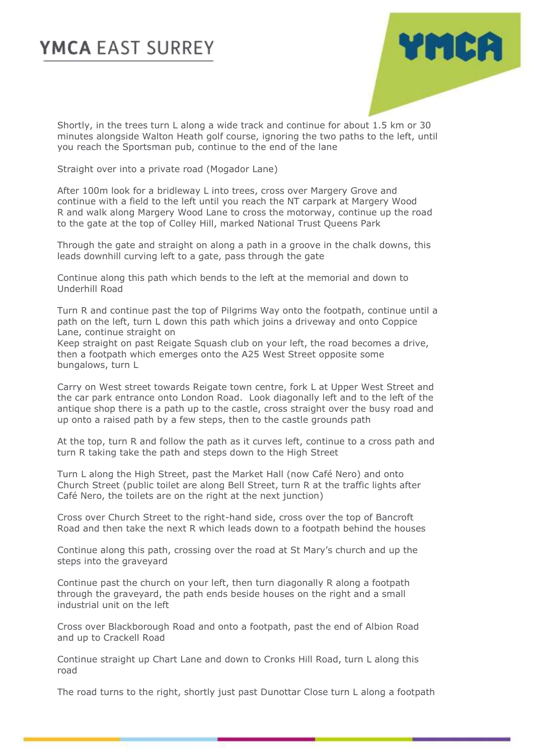

Shortly, in the trees turn L along a wide track and continue for about 1.5 km or 30 minutes alongside Walton Heath golf course, ignoring the two paths to the left, until you reach the Sportsman pub, continue to the end of the lane

Straight over into a private road (Mogador Lane)

After 100m look for a bridleway L into trees, cross over Margery Grove and continue with a field to the left until you reach the NT carpark at Margery Wood R and walk along Margery Wood Lane to cross the motorway, continue up the road to the gate at the top of Colley Hill, marked National Trust Queens Park

Through the gate and straight on along a path in a groove in the chalk downs, this leads downhill curving left to a gate, pass through the gate

Continue along this path which bends to the left at the memorial and down to Underhill Road

Turn R and continue past the top of Pilgrims Way onto the footpath, continue until a path on the left, turn L down this path which joins a driveway and onto Coppice Lane, continue straight on

Keep straight on past Reigate Squash club on your left, the road becomes a drive, then a footpath which emerges onto the A25 West Street opposite some bungalows, turn L

Carry on West street towards Reigate town centre, fork L at Upper West Street and the car park entrance onto London Road. Look diagonally left and to the left of the antique shop there is a path up to the castle, cross straight over the busy road and up onto a raised path by a few steps, then to the castle grounds path

At the top, turn R and follow the path as it curves left, continue to a cross path and turn R taking take the path and steps down to the High Street

Turn L along the High Street, past the Market Hall (now Café Nero) and onto Church Street (public toilet are along Bell Street, turn R at the traffic lights after Café Nero, the toilets are on the right at the next junction)

Cross over Church Street to the right-hand side, cross over the top of Bancroft Road and then take the next R which leads down to a footpath behind the houses

Continue along this path, crossing over the road at St Mary's church and up the steps into the graveyard

Continue past the church on your left, then turn diagonally R along a footpath through the graveyard, the path ends beside houses on the right and a small industrial unit on the left

Cross over Blackborough Road and onto a footpath, past the end of Albion Road and up to Crackell Road

Continue straight up Chart Lane and down to Cronks Hill Road, turn L along this road

The road turns to the right, shortly just past Dunottar Close turn L along a footpath